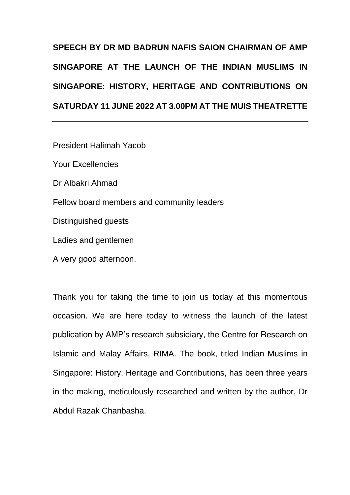## **SPEECH BY DR MD BADRUN NAFIS SAION CHAIRMAN OF AMP SINGAPORE AT THE LAUNCH OF THE** *INDIAN MUSLIMS IN SINGAPORE: HISTORY, HERITAGE AND CONTRIBUTIONS* **ON SATURDAY 11 JUNE 2022 AT 3.00PM AT THE MUIS THEATRETTE**

President Halimah Yacob Your Excellencies Dr Albakri Ahmad Fellow board members and community leaders Distinguished guests Ladies and gentlemen

A very good afternoon.

Thank you for taking the time to join us today at this momentous occasion. We are here today to witness the launch of the latest publication by AMP's research subsidiary, the Centre for Research on Islamic and Malay Affairs, RIMA. The book, titled *Indian Muslims in Singapore: History, Heritage and Contributions,* has been three years in the making, meticulously researched and written by the author, Dr Abdul Razak Chanbasha.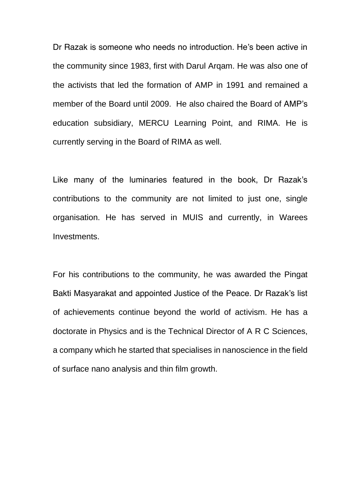Dr Razak is someone who needs no introduction. He's been active in the community since 1983, first with Darul Arqam. He was also one of the activists that led the formation of AMP in 1991 and remained a member of the Board until 2009. He also chaired the Board of AMP's education subsidiary, MERCU Learning Point, and RIMA. He is currently serving in the Board of RIMA as well.

Like many of the luminaries featured in the book, Dr Razak's contributions to the community are not limited to just one, single organisation. He has served in MUIS and currently, in Warees Investments.

For his contributions to the community, he was awarded the Pingat Bakti Masyarakat and appointed Justice of the Peace. Dr Razak's list of achievements continue beyond the world of activism. He has a doctorate in Physics and is the Technical Director of A R C Sciences, a company which he started that specialises in nanoscience in the field of surface nano analysis and thin film growth.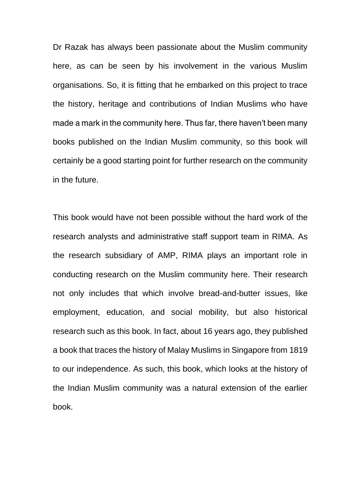Dr Razak has always been passionate about the Muslim community here, as can be seen by his involvement in the various Muslim organisations. So, it is fitting that he embarked on this project to trace the history, heritage and contributions of Indian Muslims who have made a mark in the community here. Thus far, there haven't been many books published on the Indian Muslim community, so this book will certainly be a good starting point for further research on the community in the future.

This book would have not been possible without the hard work of the research analysts and administrative staff support team in RIMA. As the research subsidiary of AMP, RIMA plays an important role in conducting research on the Muslim community here. Their research not only includes that which involve bread-and-butter issues, like employment, education, and social mobility, but also historical research such as this book. In fact, about 16 years ago, they published a book that traces the history of Malay Muslims in Singapore from 1819 to our independence. As such, this book, which looks at the history of the Indian Muslim community was a natural extension of the earlier book.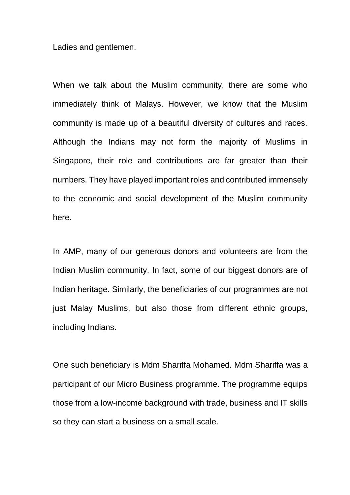Ladies and gentlemen.

When we talk about the Muslim community, there are some who immediately think of Malays. However, we know that the Muslim community is made up of a beautiful diversity of cultures and races. Although the Indians may not form the majority of Muslims in Singapore, their role and contributions are far greater than their numbers. They have played important roles and contributed immensely to the economic and social development of the Muslim community here.

In AMP, many of our generous donors and volunteers are from the Indian Muslim community. In fact, some of our biggest donors are of Indian heritage. Similarly, the beneficiaries of our programmes are not just Malay Muslims, but also those from different ethnic groups, including Indians.

One such beneficiary is Mdm Shariffa Mohamed. Mdm Shariffa was a participant of our Micro Business programme. The programme equips those from a low-income background with trade, business and IT skills so they can start a business on a small scale.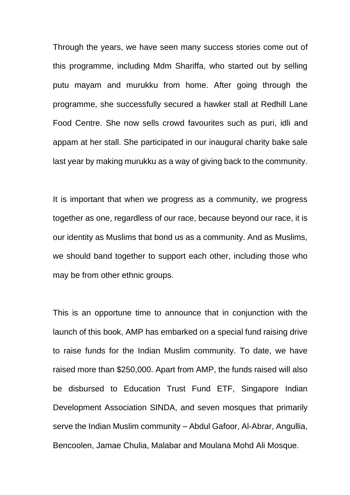Through the years, we have seen many success stories come out of this programme, including Mdm Shariffa, who started out by selling *putu mayam* and *murukku* from home. After going through the programme, she successfully secured a hawker stall at Redhill Lane Food Centre. She now sells crowd favourites such as *puri*, *idli* and *appam* at her stall. She participated in our inaugural charity bake sale last year by making *murukku* as a way of giving back to the community.

It is important that when we progress as a community, we progress together as one, regardless of our race, because beyond our race, it is our identity as Muslims that bond us as a community. And as Muslims, we should band together to support each other, including those who may be from other ethnic groups.

This is an opportune time to announce that in conjunction with the launch of this book, AMP has embarked on a special fund raising drive to raise funds for the Indian Muslim community. To date, we have raised more than \$250,000. Apart from AMP, the funds raised will also be disbursed to Education Trust Fund ETF, Singapore Indian Development Association SINDA, and seven mosques that primarily serve the Indian Muslim community – Abdul Gafoor, Al-Abrar, Angullia, Bencoolen, Jamae Chulia, Malabar and Moulana Mohd Ali Mosque.